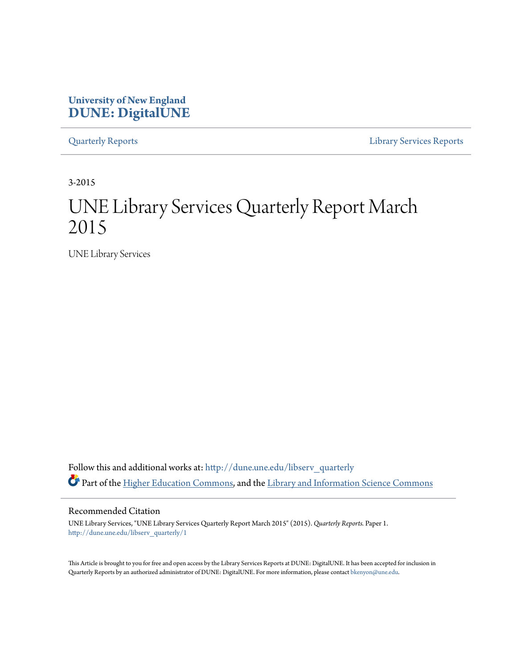# **University of New England [DUNE: DigitalUNE](http://dune.une.edu?utm_source=dune.une.edu%2Flibserv_quarterly%2F1&utm_medium=PDF&utm_campaign=PDFCoverPages)**

[Quarterly Reports](http://dune.une.edu/libserv_quarterly?utm_source=dune.une.edu%2Flibserv_quarterly%2F1&utm_medium=PDF&utm_campaign=PDFCoverPages) [Library Services Reports](http://dune.une.edu/libserv_reports?utm_source=dune.une.edu%2Flibserv_quarterly%2F1&utm_medium=PDF&utm_campaign=PDFCoverPages)

3-2015

# UNE Library Services Quarterly Report March 2015

UNE Library Services

Follow this and additional works at: [http://dune.une.edu/libserv\\_quarterly](http://dune.une.edu/libserv_quarterly?utm_source=dune.une.edu%2Flibserv_quarterly%2F1&utm_medium=PDF&utm_campaign=PDFCoverPages) Part of the [Higher Education Commons](http://network.bepress.com/hgg/discipline/1245?utm_source=dune.une.edu%2Flibserv_quarterly%2F1&utm_medium=PDF&utm_campaign=PDFCoverPages), and the [Library and Information Science Commons](http://network.bepress.com/hgg/discipline/1018?utm_source=dune.une.edu%2Flibserv_quarterly%2F1&utm_medium=PDF&utm_campaign=PDFCoverPages)

Recommended Citation

UNE Library Services, "UNE Library Services Quarterly Report March 2015" (2015). *Quarterly Reports.* Paper 1. [http://dune.une.edu/libserv\\_quarterly/1](http://dune.une.edu/libserv_quarterly/1?utm_source=dune.une.edu%2Flibserv_quarterly%2F1&utm_medium=PDF&utm_campaign=PDFCoverPages)

This Article is brought to you for free and open access by the Library Services Reports at DUNE: DigitalUNE. It has been accepted for inclusion in Quarterly Reports by an authorized administrator of DUNE: DigitalUNE. For more information, please contact [bkenyon@une.edu.](mailto:bkenyon@une.edu)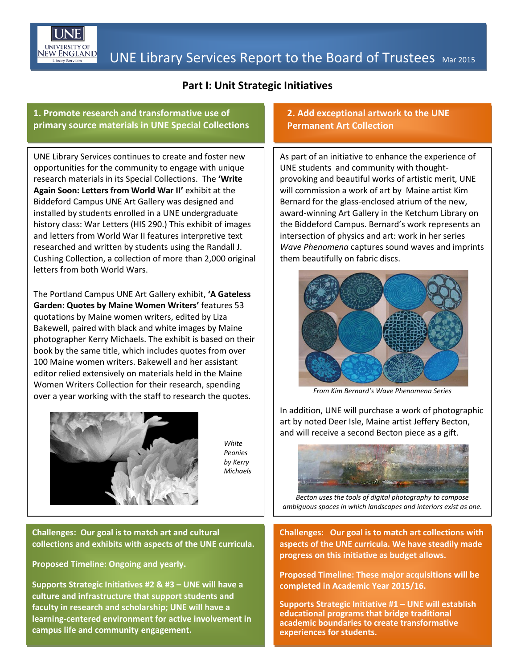

## **Part I: Unit Strategic Initiatives**

#### **1. Promote research and transformative use of primary source materials in UNE Special Collections**

UNE Library Services continues to create and foster new opportunities for the community to engage with unique research materials in its Special Collections. The **'Write Again Soon: Letters from World War II'** exhibit at the Biddeford Campus UNE Art Gallery was designed and installed by students enrolled in a UNE undergraduate history class: War Letters (HIS 290.) This exhibit of images and letters from World War II features interpretive text researched and written by students using the Randall J. Cushing Collection, a collection of more than 2,000 original letters from both World Wars.

The Portland Campus UNE Art Gallery exhibit, **'A Gateless Garden: Quotes by Maine Women Writers'** features 53 quotations by Maine women writers, edited by Liza Bakewell, paired with black and white images by Maine photographer Kerry Michaels. The exhibit is based on their book by the same title, which includes quotes from over 100 Maine women writers. Bakewell and her assistant editor relied extensively on materials held in the Maine Women Writers Collection for their research, spending over a year working with the staff to research the quotes.



*White Peonies by Kerry Michaels*

**Challenges: Our goal is to match art and cultural collections and exhibits with aspects of the UNE curricula.**

**Proposed Timeline: Ongoing and yearly.**

**Supports Strategic Initiatives #2 & #3 – UNE will have a culture and infrastructure that support students and faculty in research and scholarship; UNE will have a learning-centered environment for active involvement in campus life and community engagement.**

### **2. Add exceptional artwork to the UNE Permanent Art Collection**

As part of an initiative to enhance the experience of UNE students and community with thoughtprovoking and beautiful works of artistic merit, UNE will commission a work of art by Maine artist Kim Bernard for the glass-enclosed atrium of the new, award-winning Art Gallery in the Ketchum Library on the Biddeford Campus. Bernard's work represents an intersection of physics and art: work in her series *Wave Phenomena* captures sound waves and imprints them beautifully on fabric discs.



*From Kim Bernard's Wave Phenomena Series*

In addition, UNE will purchase a work of photographic art by noted Deer Isle, Maine artist Jeffery Becton, and will receive a second Becton piece as a gift.



*Becton uses the tools of digital photography to compose ambiguous spaces in which landscapes and interiors exist as one.*

**Challenges: Our goal is to match art collections with aspects of the UNE curricula. We have steadily made progress on this initiative as budget allows.**

**Proposed Timeline: These major acquisitions will be completed in Academic Year 2015/16.**

**Supports Strategic Initiative #1 – UNE will establish educational programs that bridge traditional academic boundaries to create transformative experiences for students.**